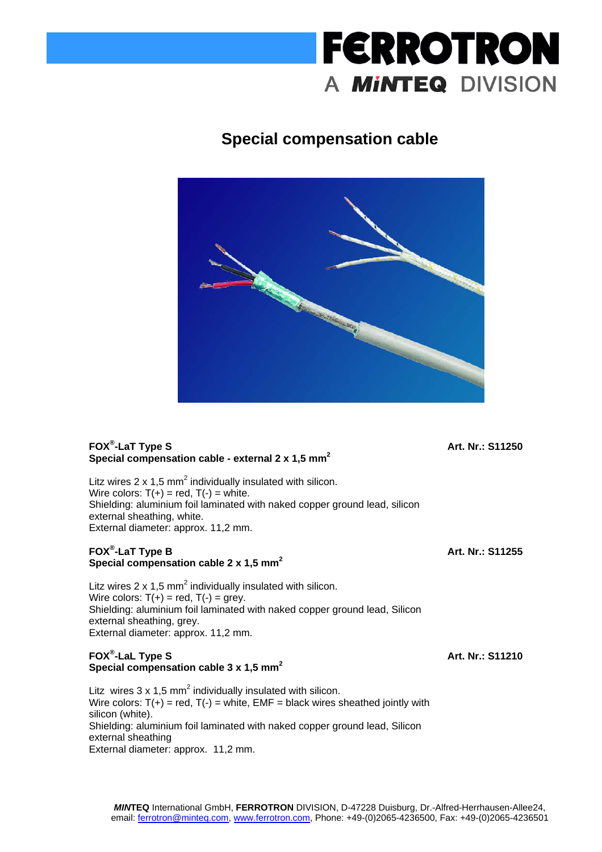# **FERROTRON** A **MINTEQ** DIVISION

# **Special compensation cable**



## **FOX® -LaT Type S Special compensation cable - external 2 x 1,5 mm2**

**Art. Nr.: S11250**

**Art. Nr.: S11255**

Litz wires 2 x 1,5 mm<sup>2</sup> individually insulated with silicon. Wire colors:  $T(+)$  = red,  $T(-)$  = white. Shielding: aluminium foil laminated with naked copper ground lead, silicon external sheathing, white. External diameter: approx. 11,2 mm.

#### **FOX® -LaT Type B Special compensation cable 2 x 1,5 mm2**

Litz wires 2 x 1,5 mm<sup>2</sup> individually insulated with silicon. Wire colors:  $T(+)$  = red,  $T(-)$  = grey. Shielding: aluminium foil laminated with naked copper ground lead, Silicon external sheathing, grey. External diameter: approx. 11,2 mm.

## **FOX® -LaL Type S**  Special compensation cable 3 x 1,5 mm<sup>2</sup>

Litz wires  $3 \times 1.5$  mm<sup>2</sup> individually insulated with silicon. Wire colors:  $T(+)$  = red,  $T(-)$  = white, EMF = black wires sheathed jointly with silicon (white). Shielding: aluminium foil laminated with naked copper ground lead, Silicon external sheathing External diameter: approx. 11,2 mm.

**Art. Nr.: S11210**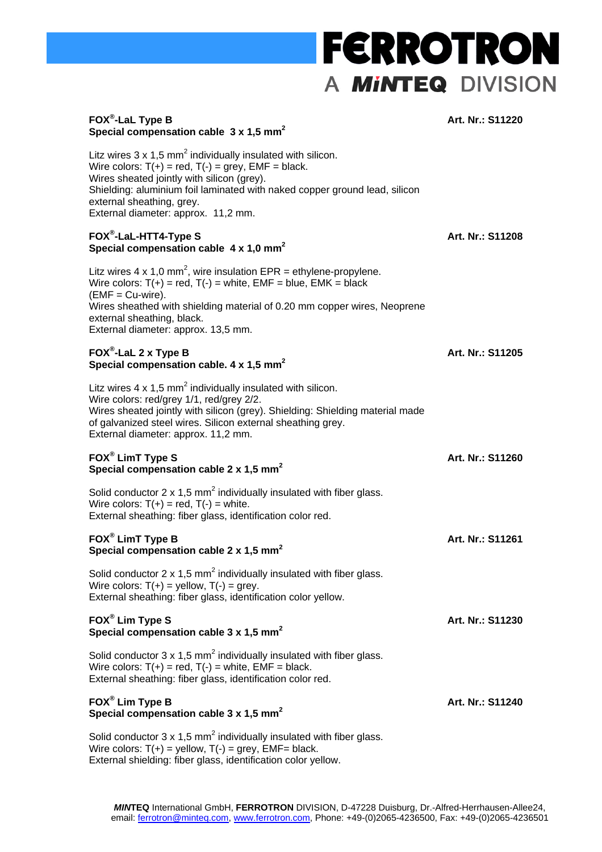# **FERROTRON** A MINTEQ DIVISION

#### **FOX® -LaL Type B Special compensation cable 3 x 1,5 mm2**

#### **Art. Nr.: S11220**

**Art. Nr.: S11205**

**Art. Nr.: S11260**

**Art. Nr.: S11261**

**Art. Nr.: S11230**

**Art. Nr.: S11240**

Litz wires  $3 \times 1.5$  mm<sup>2</sup> individually insulated with silicon. Wire colors:  $T(+)$  = red,  $T(-)$  = grey,  $EMF = black$ . Wires sheated jointly with silicon (grey). Shielding: aluminium foil laminated with naked copper ground lead, silicon external sheathing, grey. External diameter: approx. 11,2 mm. **FOX® -LaL-HTT4-Type S Special compensation cable 4 x 1,0 mm2 Art. Nr.: S11208** Litz wires 4 x 1,0 mm<sup>2</sup>, wire insulation EPR = ethylene-propylene.

Wire colors:  $T(+)$  = red,  $T(-)$  = white,  $EMF = blue$ ,  $EMK = black$  $(EMF = Cu-wire)$ . Wires sheathed with shielding material of 0.20 mm copper wires, Neoprene external sheathing, black. External diameter: approx. 13,5 mm.

#### **FOX® -LaL 2 x Type B**  Special compensation cable. 4 x 1,5 mm<sup>2</sup>

Litz wires  $4 \times 1.5$  mm<sup>2</sup> individually insulated with silicon. Wire colors: red/grey 1/1, red/grey 2/2. Wires sheated jointly with silicon (grey). Shielding: Shielding material made of galvanized steel wires. Silicon external sheathing grey. External diameter: approx. 11,2 mm.

#### **FOX® LimT Type S**  Special compensation cable 2 x 1,5 mm<sup>2</sup>

Solid conductor 2 x 1,5 mm<sup>2</sup> individually insulated with fiber glass. Wire colors:  $T(+)$  = red,  $T(-)$  = white. External sheathing: fiber glass, identification color red.

#### **FOX® LimT Type B Special compensation cable 2 x 1,5 mm2**

Solid conductor 2 x 1,5 mm<sup>2</sup> individually insulated with fiber glass. Wire colors:  $T(+)$  = yellow,  $T(-)$  = grey. External sheathing: fiber glass, identification color yellow.

## **FOX® Lim Type S Special compensation cable 3 x 1,5 mm2**

Solid conductor  $3 \times 1.5$  mm<sup>2</sup> individually insulated with fiber glass. Wire colors:  $T(+)$  = red,  $T(-)$  = white,  $EMF = black$ . External sheathing: fiber glass, identification color red.

#### **FOX® Lim Type B**  Special compensation cable 3 x 1.5 mm<sup>2</sup>

Solid conductor  $3 \times 1.5$  mm<sup>2</sup> individually insulated with fiber glass. Wire colors:  $T(+)$  = yellow,  $T(-)$  = grey,  $EMF=$  black. External shielding: fiber glass, identification color yellow.